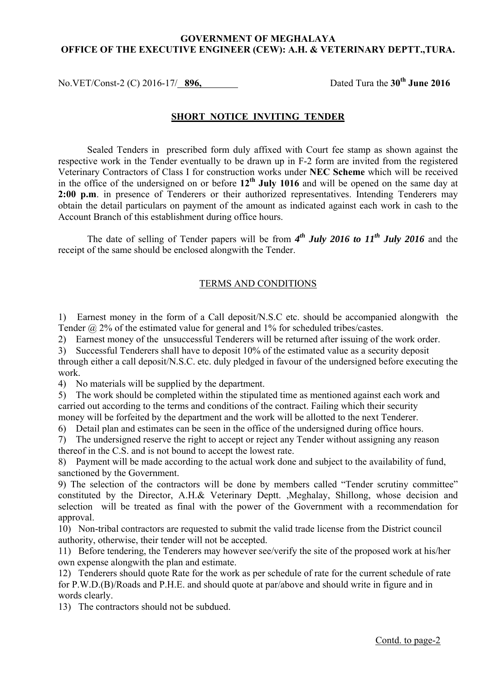## **GOVERNMENT OF MEGHALAYA OFFICE OF THE EXECUTIVE ENGINEER (CEW): A.H. & VETERINARY DEPTT.,TURA.**

No.VET/Const-2 (C) 2016-17/ 896, Dated Tura the 30<sup>th</sup> June 2016

## **SHORT NOTICE INVITING TENDER**

 Sealed Tenders in prescribed form duly affixed with Court fee stamp as shown against the in the office of the undersigned on or before **12th July 1016** and will be opened on the same day at respective work in the Tender eventually to be drawn up in F-2 form are invited from the registered Veterinary Contractors of Class I for construction works under **NEC Scheme** which will be received **2:00 p.m**. in presence of Tenderers or their authorized representatives. Intending Tenderers may obtain the detail particulars on payment of the amount as indicated against each work in cash to the Account Branch of this establishment during office hours.

The date of selling of Tender papers will be from  $4^{th}$  July 2016 to 11<sup>th</sup> July 2016 and the receipt of the same should be enclosed alongwith the Tender.

## TERMS AND CONDITIONS

 1) Earnest money in the form of a Call deposit/N.S.C etc. should be accompanied alongwith the Tender @ 2% of the estimated value for general and 1% for scheduled tribes/castes.

2) Earnest money of the unsuccessful Tenderers will be returned after issuing of the work order.

 3) Successful Tenderers shall have to deposit 10% of the estimated value as a security deposit through either a call deposit/N.S.C. etc. duly pledged in favour of the undersigned before executing the work.

4) No materials will be supplied by the department.

 5) The work should be completed within the stipulated time as mentioned against each work and carried out according to the terms and conditions of the contract. Failing which their security money will be forfeited by the department and the work will be allotted to the next Tenderer.

6) Detail plan and estimates can be seen in the office of the undersigned during office hours.

 7) The undersigned reserve the right to accept or reject any Tender without assigning any reason thereof in the C.S. and is not bound to accept the lowest rate.

 8) Payment will be made according to the actual work done and subject to the availability of fund, sanctioned by the Government.

 9) The selection of the contractors will be done by members called "Tender scrutiny committee" constituted by the Director, A.H.& Veterinary Deptt. ,Meghalay, Shillong, whose decision and selection will be treated as final with the power of the Government with a recommendation for approval.

10) Non-tribal contractors are requested to submit the valid trade license from the District council authority, otherwise, their tender will not be accepted.

11) Before tendering, the Tenderers may however see/verify the site of the proposed work at his/her own expense alongwith the plan and estimate.

12) Tenderers should quote Rate for the work as per schedule of rate for the current schedule of rate for P.W.D.(B)/Roads and P.H.E. and should quote at par/above and should write in figure and in words clearly.

13) The contractors should not be subdued.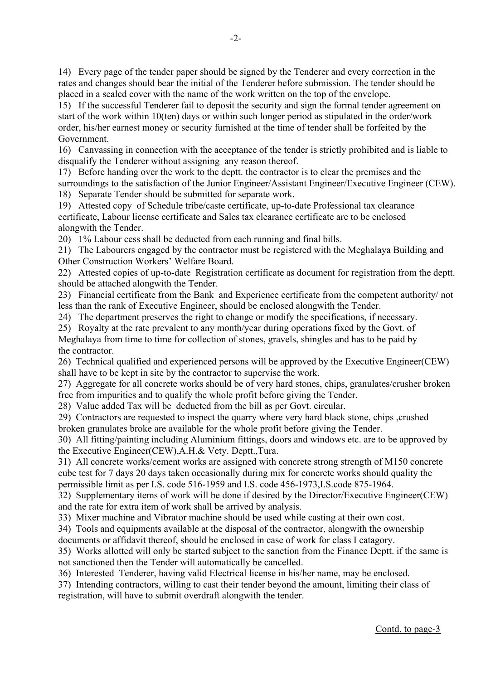14) Every page of the tender paper should be signed by the Tenderer and every correction in the rates and changes should bear the initial of the Tenderer before submission. The tender should be placed in a sealed cover with the name of the work written on the top of the envelope.

15) If the successful Tenderer fail to deposit the security and sign the formal tender agreement on start of the work within 10(ten) days or within such longer period as stipulated in the order/work order, his/her earnest money or security furnished at the time of tender shall be forfeited by the Government.

16) Canvassing in connection with the acceptance of the tender is strictly prohibited and is liable to disqualify the Tenderer without assigning any reason thereof.

17) Before handing over the work to the deptt. the contractor is to clear the premises and the surroundings to the satisfaction of the Junior Engineer/Assistant Engineer/Executive Engineer (CEW). 18) Separate Tender should be submitted for separate work.

19) Attested copy of Schedule tribe/caste certificate, up-to-date Professional tax clearance

certificate, Labour license certificate and Sales tax clearance certificate are to be enclosed alongwith the Tender.

20) 1% Labour cess shall be deducted from each running and final bills.

21) The Labourers engaged by the contractor must be registered with the Meghalaya Building and Other Construction Workers' Welfare Board.

22) Attested copies of up-to-date Registration certificate as document for registration from the deptt. should be attached alongwith the Tender.

23) Financial certificate from the Bank and Experience certificate from the competent authority/ not less than the rank of Executive Engineer, should be enclosed alongwith the Tender.

24) The department preserves the right to change or modify the specifications, if necessary.

25) Royalty at the rate prevalent to any month/year during operations fixed by the Govt. of

Meghalaya from time to time for collection of stones, gravels, shingles and has to be paid by the contractor.

26) Technical qualified and experienced persons will be approved by the Executive Engineer(CEW) shall have to be kept in site by the contractor to supervise the work.

27) Aggregate for all concrete works should be of very hard stones, chips, granulates/crusher broken free from impurities and to qualify the whole profit before giving the Tender.

28) Value added Tax will be deducted from the bill as per Govt. circular.

29) Contractors are requested to inspect the quarry where very hard black stone, chips ,crushed broken granulates broke are available for the whole profit before giving the Tender.

30) All fitting/painting including Aluminium fittings, doors and windows etc. are to be approved by the Executive Engineer(CEW),A.H.& Vety. Deptt.,Tura.

31) All concrete works/cement works are assigned with concrete strong strength of M150 concrete cube test for 7 days 20 days taken occasionally during mix for concrete works should quality the permissible limit as per I.S. code 516-1959 and I.S. code 456-1973,I.S.code 875-1964.

32) Supplementary items of work will be done if desired by the Director/Executive Engineer(CEW) and the rate for extra item of work shall be arrived by analysis.

33) Mixer machine and Vibrator machine should be used while casting at their own cost.

34) Tools and equipments available at the disposal of the contractor, alongwith the ownership

documents or affidavit thereof, should be enclosed in case of work for class I catagory.

35) Works allotted will only be started subject to the sanction from the Finance Deptt. if the same is not sanctioned then the Tender will automatically be cancelled.

36) Interested Tenderer, having valid Electrical license in his/her name, may be enclosed.

37) Intending contractors, willing to cast their tender beyond the amount, limiting their class of registration, will have to submit overdraft alongwith the tender.